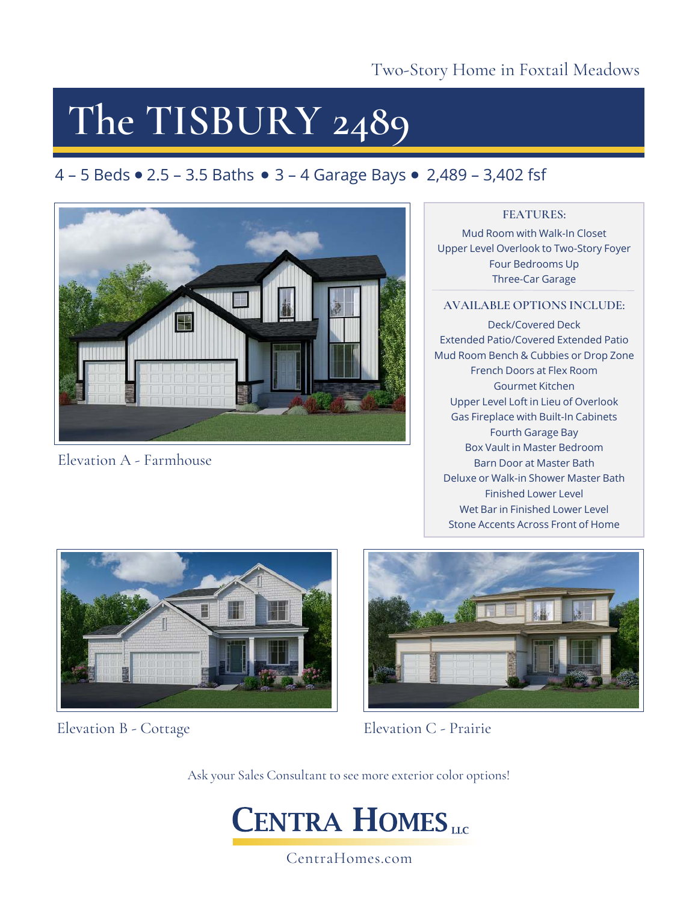## **The TISBURY 2489**

## 4 – 5 Beds  $\bullet$  2.5 – 3.5 Baths  $\bullet$  3 – 4 Garage Bays  $\bullet$  2,489 – 3,402 fsf



Elevation A - Farmhouse

### **FEATURES:**

Mud Room with Walk-In Closet Upper Level Overlook to Two-Story Foyer Four Bedrooms Up Three-Car Garage

### **AVAILABLE OPTIONS INCLUDE:**

Deck/Covered Deck Extended Patio/Covered Extended Patio Mud Room Bench & Cubbies or Drop Zone French Doors at Flex Room Gourmet Kitchen Upper Level Loft in Lieu of Overlook Gas Fireplace with Built-In Cabinets Fourth Garage Bay Box Vault in Master Bedroom Barn Door at Master Bath Deluxe or Walk-in Shower Master Bath Finished Lower Level Wet Bar in Finished Lower Level Stone Accents Across Front of Home



Elevation B - Cottage



Elevation C - Prairie

Ask your Sales Consultant to see more exterior color options!



CentraHomes.com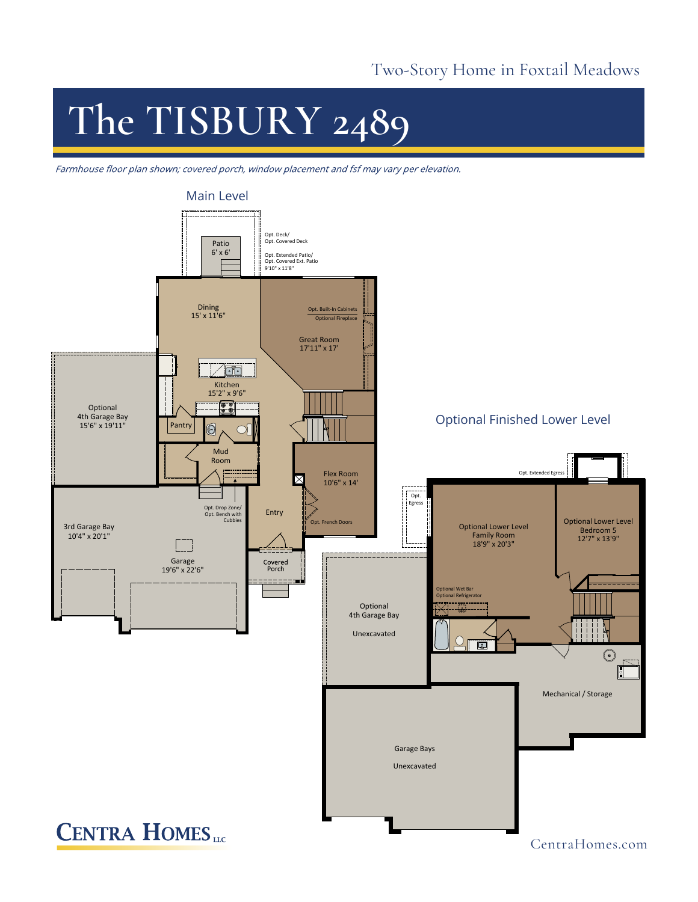## Two-Story Home in Foxtail Meadows

# **The TISBURY 2489**

Farmhouse floor plan shown; covered porch, window placement and fsf may vary per elevation.



CentraHomes.com